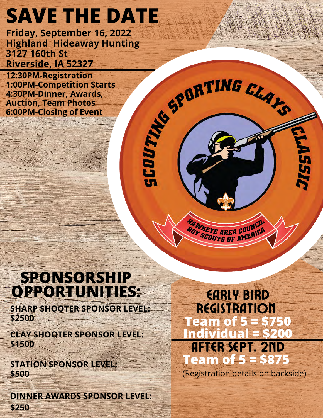# **SAVE THE DATE**

Friday, September 16, 2022<br>
Highland Hideaway Hunting<br>
3127 160th St<br>
Riverside, IA 52327<br>
1:30PM-Competition Starts<br>
4:30PM-Competition Starts<br>
Auction, Team Photos<br>
6:00PM-Closing of Event<br>
C **Highland Hideaway Hunting 3127 160th St Riverside, IA 52327**

**12:30PM-Registration 1:00PM-Competition Starts 4:30PM-Dinner, Awards, Auction, Team Photos 6:00PM-Closing of Event**

# **SPONSORSHIP OPPORTUNITIES:**

**SHARP SHOOTER SPONSOR LEVEL: \$2500**

**CLAY SHOOTER SPONSOR LEVEL: \$1500**

**STATION SPONSOR LEVEL: \$500**

**DINNER AWARDS SPONSOR LEVEL: \$250**

Early Bird **REGISTRATION Team of 5 = \$750 Individua** After Sept. 2nd **Team of 5 = \$875**

*UNKEYE AREA COUNCIL* BOY KEYE AREA COUNCE

(Registration details on backside)